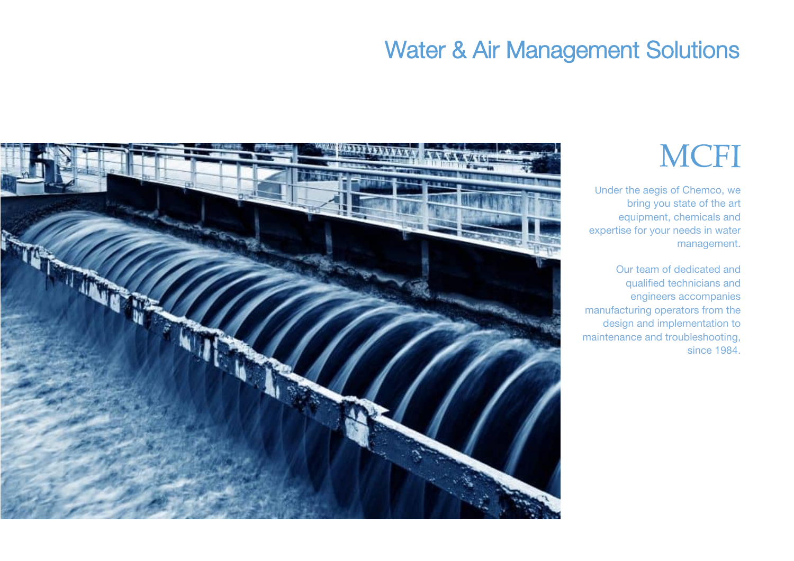# **MCFI**

Under the aegis of Chemco, we bring you state of the art equipment, chemicals and expertise for your needs in water management.

Our team of dedicated and qualified technicians and engineers accompanies manufacturing operators from the design and implementation to maintenance and troubleshooting, since 1984.

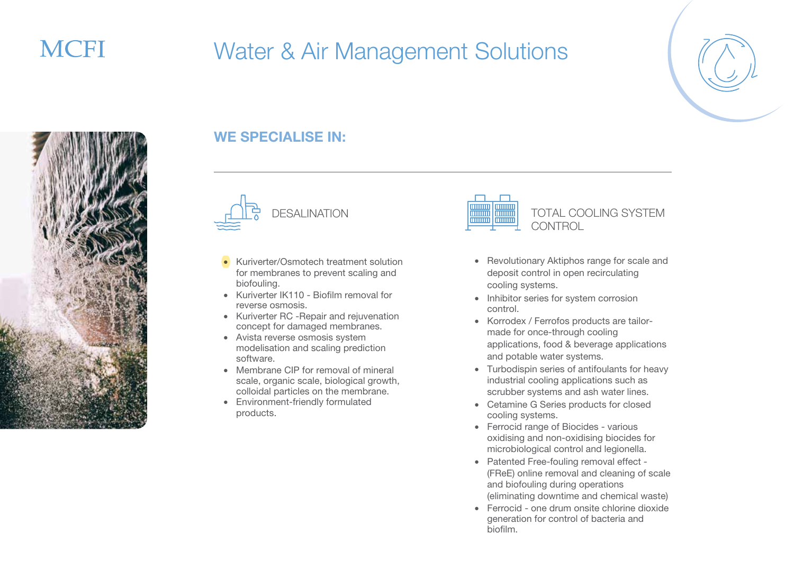





### WE SPECIALISE IN:



- Kuriverter/Osmotech treatment solution for membranes to prevent scaling and biofouling.
- Kuriverter IK110 Biofilm removal for reverse osmosis.
- Kuriverter RC -Repair and rejuvenation concept for damaged membranes.
- Avista reverse osmosis system modelisation and scaling prediction software.
- Membrane CIP for removal of mineral scale, organic scale, biological growth, colloidal particles on the membrane.
- Environment-friendly formulated products.



#### • Revolutionary Aktiphos range for scale and deposit control in open recirculating cooling systems.

- Inhibitor series for system corrosion control.
- Korrodex / Ferrofos products are tailormade for once-through cooling applications, food & beverage applications and potable water systems.
- Turbodispin series of antifoulants for heavy industrial cooling applications such as scrubber systems and ash water lines.
- Cetamine G Series products for closed cooling systems.
- Ferrocid range of Biocides various oxidising and non-oxidising biocides for microbiological control and legionella.
- Patented Free-fouling removal effect (FReE) online removal and cleaning of scale and biofouling during operations (eliminating downtime and chemical waste)
- Ferrocid one drum onsite chlorine dioxide generation for control of bacteria and biofilm.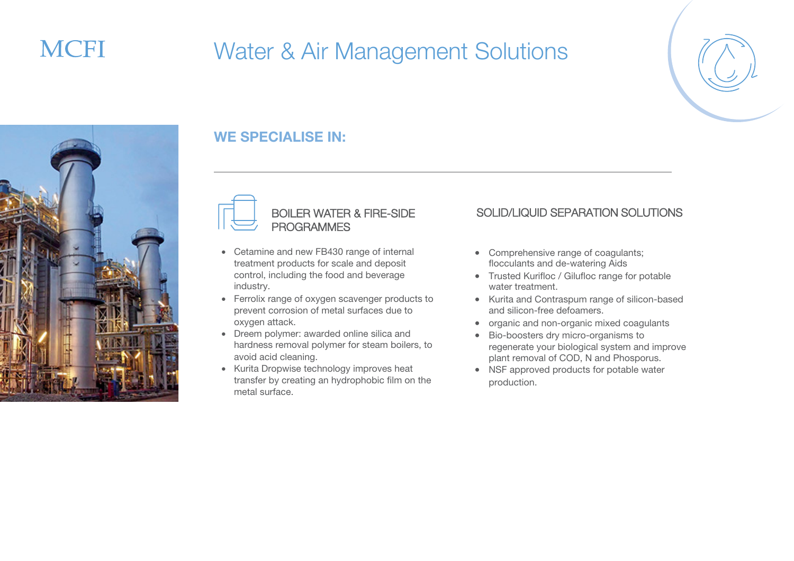## **MCFI**

## Water & Air Management Solutions





### WE SPECIALISE IN:



#### BOILER WATER & FIRE-SIDE PROGRAMMES

- Cetamine and new FB430 range of internal treatment products for scale and deposit control, including the food and beverage industry.
- Ferrolix range of oxygen scavenger products to prevent corrosion of metal surfaces due to oxygen attack.
- Dreem polymer: awarded online silica and hardness removal polymer for steam boilers, to avoid acid cleaning.
- Kurita Dropwise technology improves heat transfer by creating an hydrophobic film on the metal surface.

#### SOLID/LIQUID SEPARATION SOLUTIONS

- Comprehensive range of coagulants; flocculants and de-watering Aids
- Trusted Kurifloc / Gilufloc range for potable water treatment.
- Kurita and Contraspum range of silicon-based and silicon-free defoamers.
- organic and non-organic mixed coagulants
- Bio-boosters dry micro-organisms to regenerate your biological system and improve plant removal of COD, N and Phosporus.
- NSF approved products for potable water production.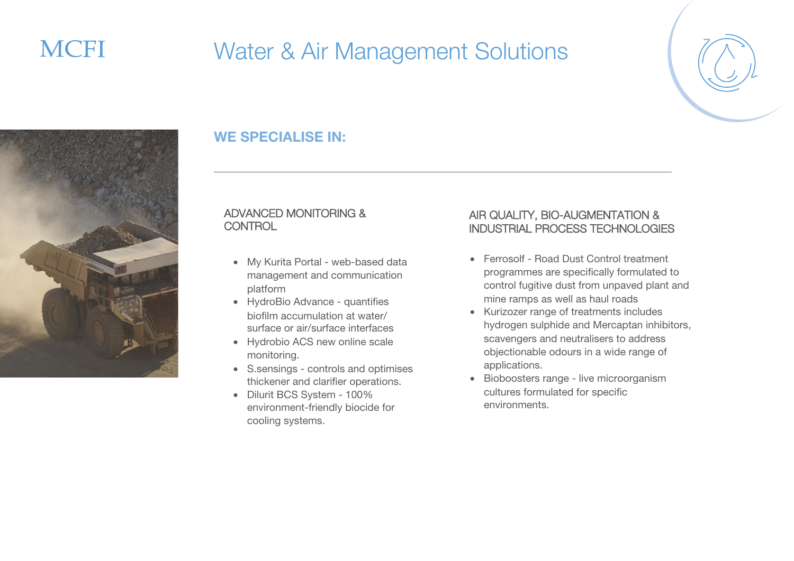



### WE SPECIALISE IN:

#### ADVANCED MONITORING & **CONTROL**

- My Kurita Portal web-based data management and communication platform
- HydroBio Advance quantifies biofilm accumulation at water/ surface or air/surface interfaces
- Hydrobio ACS new online scale monitoring.
- S.sensings controls and optimises thickener and clarifier operations.
- Dilurit BCS System 100% environment-friendly biocide for cooling systems.

#### AIR QUALITY, BIO-AUGMENTATION & INDUSTRIAL PROCESS TECHNOLOGIES

- Ferrosolf Road Dust Control treatment programmes are specifically formulated to control fugitive dust from unpaved plant and mine ramps as well as haul roads
- Kurizozer range of treatments includes hydrogen sulphide and Mercaptan inhibitors, scavengers and neutralisers to address objectionable odours in a wide range of applications.
- Bioboosters range live microorganism cultures formulated for specific environments.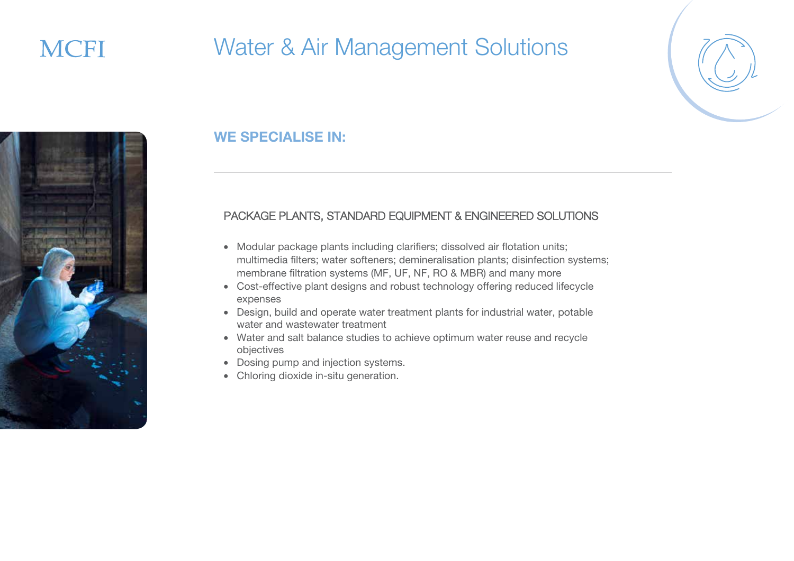





#### PACKAGE PLANTS, STANDARD EQUIPMENT & ENGINEERED SOLUTIONS

- Modular package plants including clarifiers; dissolved air flotation units; multimedia filters; water softeners; demineralisation plants; disinfection systems; membrane filtration systems (MF, UF, NF, RO & MBR) and many more
- Cost-effective plant designs and robust technology offering reduced lifecycle expenses
- Design, build and operate water treatment plants for industrial water, potable water and wastewater treatment
- Water and salt balance studies to achieve optimum water reuse and recycle objectives
- Dosing pump and injection systems.
- Chloring dioxide in-situ generation.